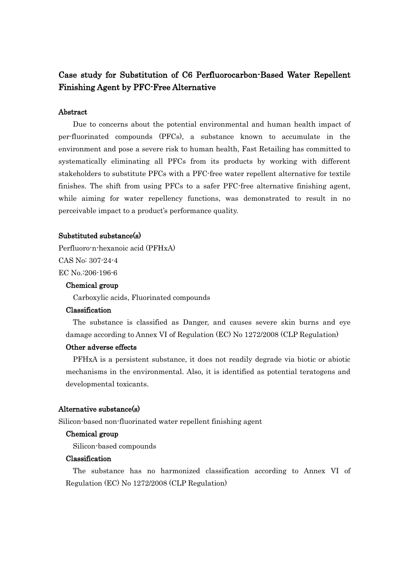# Case study for Substitution of C6 Perfluorocarbon-Based Water Repellent Finishing Agent by PFC-Free Alternative

## Abstract

Due to concerns about the potential environmental and human health impact of per-fluorinated compounds (PFCs), a substance known to accumulate in the environment and pose a severe risk to human health, Fast Retailing has committed to systematically eliminating all PFCs from its products by working with different stakeholders to substitute PFCs with a PFC-free water repellent alternative for textile finishes. The shift from using PFCs to a safer PFC-free alternative finishing agent, while aiming for water repellency functions, was demonstrated to result in no perceivable impact to a product's performance quality.

#### Substituted substance(s)

Perfluoro-n-hexanoic acid (PFHxA) CAS No: 307-24-4 EC No.:206-196-6

## Chemical group

Carboxylic acids, Fluorinated compounds

## Classification

The substance is classified as Danger, and causes severe skin burns and eye damage according to Annex VI of Regulation (EC) No 1272/2008 (CLP Regulation)

## Other adverse effects

PFHxA is a persistent substance, it does not readily degrade via biotic or abiotic mechanisms in the environmental. Also, it is identified as potential teratogens and developmental toxicants.

## Alternative substance(s)

Silicon-based non-fluorinated water repellent finishing agent

## Chemical group

Silicon-based compounds

## Classification

The substance has no harmonized classification according to Annex VI of Regulation (EC) No 1272/2008 (CLP Regulation)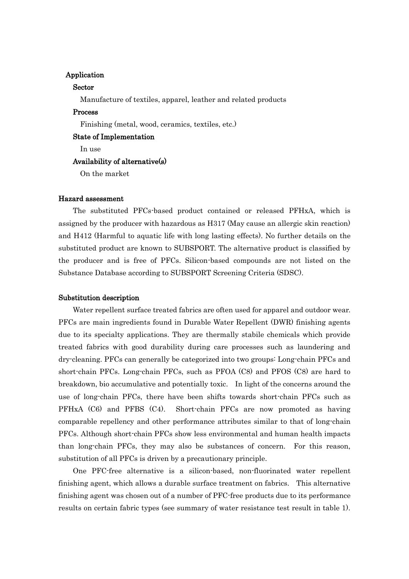## Application

## Sector

Manufacture of textiles, apparel, leather and related products

## Process

Finishing (metal, wood, ceramics, textiles, etc.)

#### State of Implementation

In use

## Availability of alternative(s)

On the market

## Hazard assessment

The substituted PFCs-based product contained or released PFHxA, which is assigned by the producer with hazardous as H317 (May cause an allergic skin reaction) and H412 (Harmful to aquatic life with long lasting effects). No further details on the substituted product are known to SUBSPORT. The alternative product is classified by the producer and is free of PFCs. Silicon-based compounds are not listed on the Substance Database according to SUBSPORT Screening Criteria (SDSC).

#### Substitution description

Water repellent surface treated fabrics are often used for apparel and outdoor wear. PFCs are main ingredients found in Durable Water Repellent (DWR) finishing agents due to its specialty applications. They are thermally stabile chemicals which provide treated fabrics with good durability during care processes such as laundering and dry-cleaning. PFCs can generally be categorized into two groups: Long-chain PFCs and short-chain PFCs. Long-chain PFCs, such as PFOA (C8) and PFOS (C8) are hard to breakdown, bio accumulative and potentially toxic. In light of the concerns around the use of long-chain PFCs, there have been shifts towards short-chain PFCs such as PFHxA (C6) and PFBS (C4). Short-chain PFCs are now promoted as having comparable repellency and other performance attributes similar to that of long-chain PFCs. Although short-chain PFCs show less environmental and human health impacts than long-chain PFCs, they may also be substances of concern. For this reason, substitution of all PFCs is driven by a precautionary principle.

One PFC-free alternative is a silicon-based, non-fluorinated water repellent finishing agent, which allows a durable surface treatment on fabrics. This alternative finishing agent was chosen out of a number of PFC-free products due to its performance results on certain fabric types (see summary of water resistance test result in table 1).